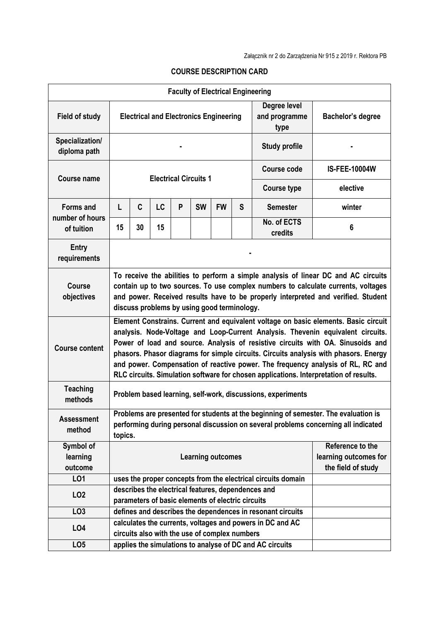|                                  |                                                                                                                                                                                                                                                                                                                                                                                                                                                                                                                               |                                             |    | <b>Faculty of Electrical Engineering</b> |           |           |                                                                 |                                                              |                                                                                                                                                                                                                                                              |  |  |  |
|----------------------------------|-------------------------------------------------------------------------------------------------------------------------------------------------------------------------------------------------------------------------------------------------------------------------------------------------------------------------------------------------------------------------------------------------------------------------------------------------------------------------------------------------------------------------------|---------------------------------------------|----|------------------------------------------|-----------|-----------|-----------------------------------------------------------------|--------------------------------------------------------------|--------------------------------------------------------------------------------------------------------------------------------------------------------------------------------------------------------------------------------------------------------------|--|--|--|
| <b>Field of study</b>            | Degree level<br><b>Electrical and Electronics Engineering</b><br>and programme<br>type                                                                                                                                                                                                                                                                                                                                                                                                                                        |                                             |    |                                          |           |           | Bachelor's degree                                               |                                                              |                                                                                                                                                                                                                                                              |  |  |  |
| Specialization/<br>diploma path  |                                                                                                                                                                                                                                                                                                                                                                                                                                                                                                                               |                                             |    |                                          |           |           |                                                                 | <b>Study profile</b>                                         |                                                                                                                                                                                                                                                              |  |  |  |
| <b>Course name</b>               |                                                                                                                                                                                                                                                                                                                                                                                                                                                                                                                               |                                             |    |                                          |           |           |                                                                 | <b>Course code</b>                                           | <b>IS-FEE-10004W</b>                                                                                                                                                                                                                                         |  |  |  |
|                                  | <b>Electrical Circuits 1</b><br>elective<br><b>Course type</b>                                                                                                                                                                                                                                                                                                                                                                                                                                                                |                                             |    |                                          |           |           |                                                                 |                                                              |                                                                                                                                                                                                                                                              |  |  |  |
| <b>Forms and</b>                 | L                                                                                                                                                                                                                                                                                                                                                                                                                                                                                                                             | C                                           | LC | P                                        | <b>SW</b> | <b>FW</b> | S                                                               | <b>Semester</b>                                              | winter                                                                                                                                                                                                                                                       |  |  |  |
| number of hours<br>of tuition    | 15                                                                                                                                                                                                                                                                                                                                                                                                                                                                                                                            | 30                                          | 15 |                                          |           |           |                                                                 | No. of ECTS<br>credits                                       | 6                                                                                                                                                                                                                                                            |  |  |  |
| Entry<br>requirements            |                                                                                                                                                                                                                                                                                                                                                                                                                                                                                                                               |                                             |    |                                          |           |           |                                                                 |                                                              |                                                                                                                                                                                                                                                              |  |  |  |
| <b>Course</b><br>objectives      |                                                                                                                                                                                                                                                                                                                                                                                                                                                                                                                               | discuss problems by using good terminology. |    |                                          |           |           |                                                                 |                                                              | To receive the abilities to perform a simple analysis of linear DC and AC circuits<br>contain up to two sources. To use complex numbers to calculate currents, voltages<br>and power. Received results have to be properly interpreted and verified. Student |  |  |  |
| <b>Course content</b>            | Element Constrains. Current and equivalent voltage on basic elements. Basic circuit<br>analysis. Node-Voltage and Loop-Current Analysis. Thevenin equivalent circuits.<br>Power of load and source. Analysis of resistive circuits with OA. Sinusoids and<br>phasors. Phasor diagrams for simple circuits. Circuits analysis with phasors. Energy<br>and power. Compensation of reactive power. The frequency analysis of RL, RC and<br>RLC circuits. Simulation software for chosen applications. Interpretation of results. |                                             |    |                                          |           |           |                                                                 |                                                              |                                                                                                                                                                                                                                                              |  |  |  |
| <b>Teaching</b><br>methods       |                                                                                                                                                                                                                                                                                                                                                                                                                                                                                                                               |                                             |    |                                          |           |           |                                                                 | Problem based learning, self-work, discussions, experiments  |                                                                                                                                                                                                                                                              |  |  |  |
| <b>Assessment</b><br>method      | Problems are presented for students at the beginning of semester. The evaluation is<br>performing during personal discussion on several problems concerning all indicated<br>topics.                                                                                                                                                                                                                                                                                                                                          |                                             |    |                                          |           |           |                                                                 |                                                              |                                                                                                                                                                                                                                                              |  |  |  |
| Symbol of<br>learning<br>outcome | <b>Learning outcomes</b>                                                                                                                                                                                                                                                                                                                                                                                                                                                                                                      |                                             |    |                                          |           |           | Reference to the<br>learning outcomes for<br>the field of study |                                                              |                                                                                                                                                                                                                                                              |  |  |  |
| LO1                              |                                                                                                                                                                                                                                                                                                                                                                                                                                                                                                                               |                                             |    |                                          |           |           |                                                                 | uses the proper concepts from the electrical circuits domain |                                                                                                                                                                                                                                                              |  |  |  |
| LO <sub>2</sub>                  | describes the electrical features, dependences and<br>parameters of basic elements of electric circuits                                                                                                                                                                                                                                                                                                                                                                                                                       |                                             |    |                                          |           |           |                                                                 |                                                              |                                                                                                                                                                                                                                                              |  |  |  |
| LO <sub>3</sub>                  |                                                                                                                                                                                                                                                                                                                                                                                                                                                                                                                               |                                             |    |                                          |           |           |                                                                 | defines and describes the dependences in resonant circuits   |                                                                                                                                                                                                                                                              |  |  |  |
| LO <sub>4</sub>                  | calculates the currents, voltages and powers in DC and AC<br>circuits also with the use of complex numbers                                                                                                                                                                                                                                                                                                                                                                                                                    |                                             |    |                                          |           |           |                                                                 |                                                              |                                                                                                                                                                                                                                                              |  |  |  |
| LO <sub>5</sub>                  |                                                                                                                                                                                                                                                                                                                                                                                                                                                                                                                               |                                             |    |                                          |           |           |                                                                 | applies the simulations to analyse of DC and AC circuits     |                                                                                                                                                                                                                                                              |  |  |  |

## **COURSE DESCRIPTION CARD**